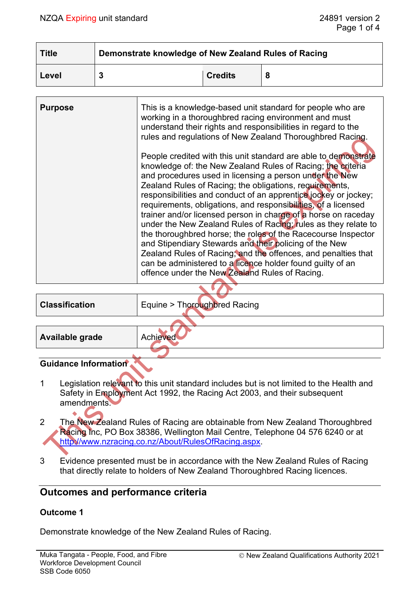| <b>Title</b> | Demonstrate knowledge of New Zealand Rules of Racing |                |  |  |
|--------------|------------------------------------------------------|----------------|--|--|
| Level        | ּ                                                    | <b>Credits</b> |  |  |

| <b>Purpose</b> | This is a knowledge-based unit standard for people who are<br>working in a thoroughbred racing environment and must<br>understand their rights and responsibilities in regard to the<br>rules and regulations of New Zealand Thoroughbred Racing.                                                                                                                                                                                                                                                                                                                                                                                                                                                                         |
|----------------|---------------------------------------------------------------------------------------------------------------------------------------------------------------------------------------------------------------------------------------------------------------------------------------------------------------------------------------------------------------------------------------------------------------------------------------------------------------------------------------------------------------------------------------------------------------------------------------------------------------------------------------------------------------------------------------------------------------------------|
|                | People credited with this unit standard are able to demonstrate<br>knowledge of: the New Zealand Rules of Racing; the criteria<br>and procedures used in licensing a person under the New<br>Zealand Rules of Racing; the obligations, requirements,<br>responsibilities and conduct of an apprentice jockey or jockey;<br>requirements, obligations, and responsibilities, of a licensed<br>trainer and/or licensed person in charge of a horse on raceday<br>under the New Zealand Rules of Racing; rules as they relate to<br>the thoroughbred horse; the roles of the Racecourse Inspector<br>and Stipendiary Stewards and their policing of the New<br>Zealand Rules of Racing, and the offences, and penalties that |
|                | can be administered to a licence holder found guilty of an<br>offence under the New Zealand Rules of Racing.                                                                                                                                                                                                                                                                                                                                                                                                                                                                                                                                                                                                              |

**Classification** Equine > Thoroughbred Racing

**Available grade** Achieved

# **Guidance Information**

- 1 Legislation relevant to this unit standard includes but is not limited to the Health and Safety in Employment Act 1992, the Racing Act 2003, and their subsequent amendments.
- 2 The New Zealand Rules of Racing are obtainable from New Zealand Thoroughbred Racing Inc, PO Box 38386, Wellington Mail Centre, Telephone 04 576 6240 or at [http://www.nzracing.co.nz/About/RulesOfRacing.aspx.](http://www.nzracing.co.nz/About/RulesOfRacing.aspx)
- 3 Evidence presented must be in accordance with the New Zealand Rules of Racing that directly relate to holders of New Zealand Thoroughbred Racing licences.

# **Outcomes and performance criteria**

# **Outcome 1**

Demonstrate knowledge of the New Zealand Rules of Racing.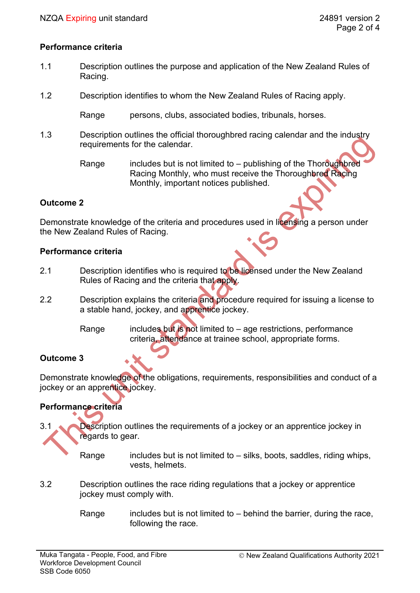### **Performance criteria**

- 1.1 Description outlines the purpose and application of the New Zealand Rules of Racing.
- 1.2 Description identifies to whom the New Zealand Rules of Racing apply.

Range persons, clubs, associated bodies, tribunals, horses.

1.3 Description outlines the official thoroughbred racing calendar and the industry requirements for the calendar.

> Range includes but is not limited to – publishing of the Thoroughbred Racing Monthly, who must receive the Thoroughbred Racing Monthly, important notices published.

### **Outcome 2**

Demonstrate knowledge of the criteria and procedures used in licensing a person under the New Zealand Rules of Racing.

#### **Performance criteria**

- 2.1 Description identifies who is required to be licensed under the New Zealand Rules of Racing and the criteria that apply.
- 2.2 Description explains the criteria and procedure required for issuing a license to a stable hand, jockey, and apprentice jockey.
	- Range includes but is not limited to age restrictions, performance criteria, attendance at trainee school, appropriate forms.

# **Outcome 3**

Demonstrate knowledge of the obligations, requirements, responsibilities and conduct of a jockey or an apprentice jockey.

# **Performance criteria**

- 3.1 Description outlines the requirements of a jockey or an apprentice jockey in regards to gear.
	- Range includes but is not limited to  $-$  silks, boots, saddles, riding whips, vests, helmets.
- 3.2 Description outlines the race riding regulations that a jockey or apprentice jockey must comply with.
	- Range includes but is not limited to  $-$  behind the barrier, during the race, following the race.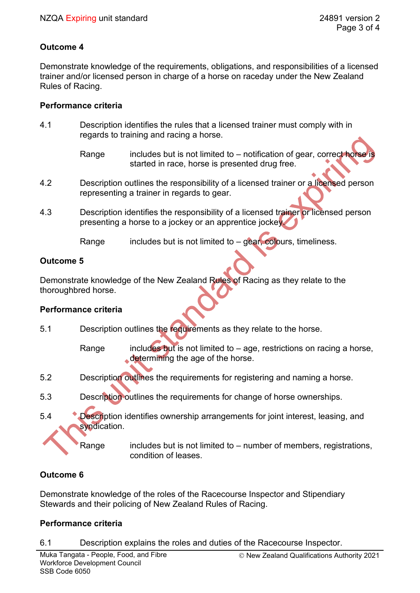### **Outcome 4**

Demonstrate knowledge of the requirements, obligations, and responsibilities of a licensed trainer and/or licensed person in charge of a horse on raceday under the New Zealand Rules of Racing.

### **Performance criteria**

- 4.1 Description identifies the rules that a licensed trainer must comply with in regards to training and racing a horse.
	- Range includes but is not limited to notification of gear, correct horse is started in race, horse is presented drug free.
- 4.2 Description outlines the responsibility of a licensed trainer or a licensed person representing a trainer in regards to gear.
- 4.3 Description identifies the responsibility of a licensed trainer or licensed person presenting a horse to a jockey or an apprentice jockey.

Range includes but is not limited to  $-$  gear, colours, timeliness.

### **Outcome 5**

Demonstrate knowledge of the New Zealand Rules of Racing as they relate to the thoroughbred horse.

### **Performance criteria**

5.1 Description outlines the requirements as they relate to the horse.

Range includes but is not limited to  $-$  age, restrictions on racing a horse, determining the age of the horse.

- 5.2 Description outlines the requirements for registering and naming a horse.
- 5.3 Description outlines the requirements for change of horse ownerships.
- 5.4 Description identifies ownership arrangements for joint interest, leasing, and syndication.

Range includes but is not limited to  $-$  number of members, registrations, condition of leases.

# **Outcome 6**

Demonstrate knowledge of the roles of the Racecourse Inspector and Stipendiary Stewards and their policing of New Zealand Rules of Racing.

# **Performance criteria**

6.1 Description explains the roles and duties of the Racecourse Inspector.